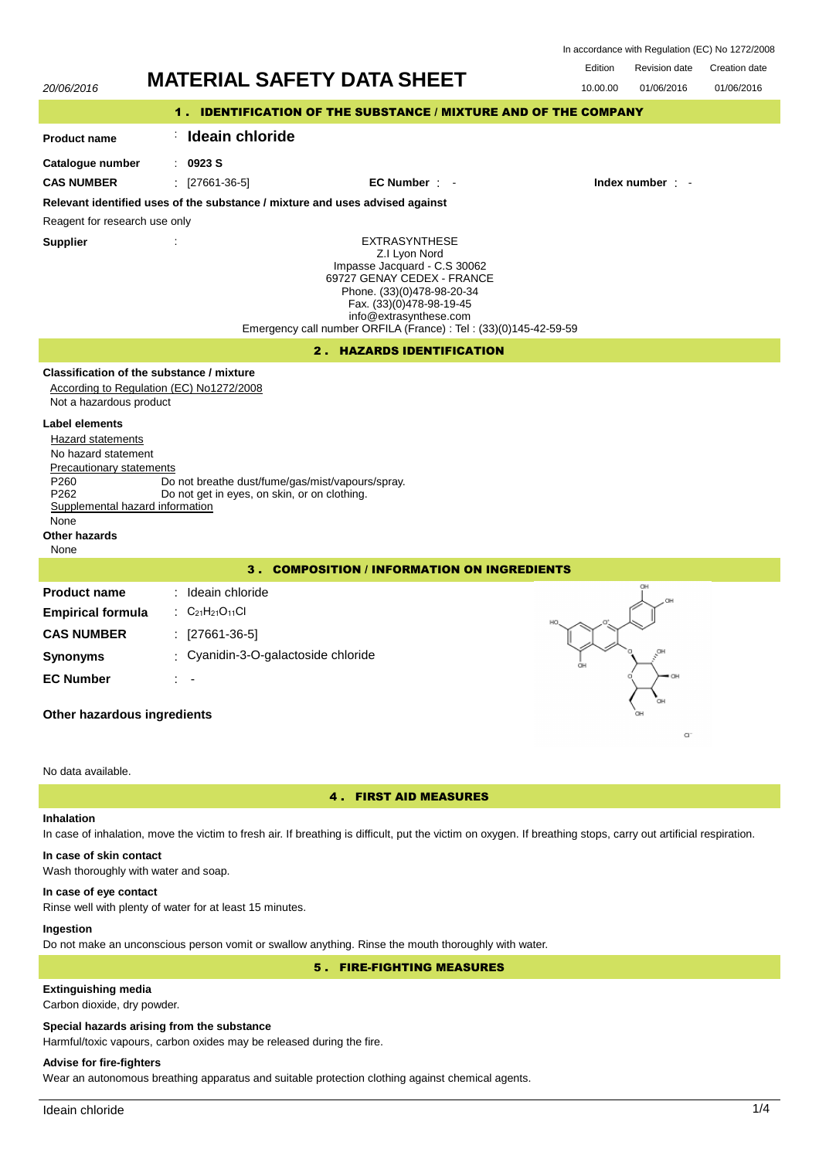| In accordance with Regulation (EC) No 1272/2008 |  |  |  |
|-------------------------------------------------|--|--|--|
|-------------------------------------------------|--|--|--|



In case of inhalation, move the victim to fresh air. If breathing is difficult, put the victim on oxygen. If breathing stops, carry out artificial respiration.

# **In case of skin contact**

Wash thoroughly with water and soap.

## **In case of eye contact**

Rinse well with plenty of water for at least 15 minutes.

# **Ingestion**

Do not make an unconscious person vomit or swallow anything. Rinse the mouth thoroughly with water.

5 . FIRE-FIGHTING MEASURES

# **Extinguishing media**

Carbon dioxide, dry powder.

#### **Special hazards arising from the substance**

Harmful/toxic vapours, carbon oxides may be released during the fire.

# **Advise for fire-fighters**

Wear an autonomous breathing apparatus and suitable protection clothing against chemical agents.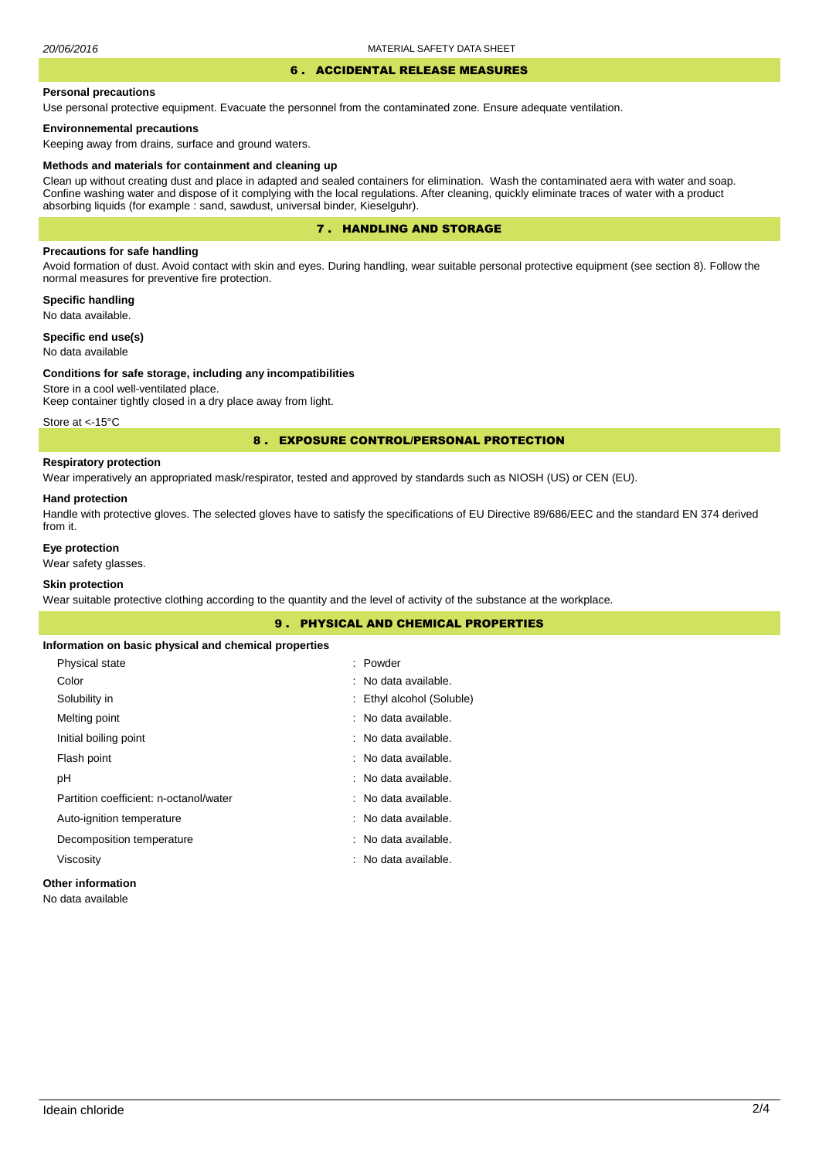# 6 . ACCIDENTAL RELEASE MEASURES

#### **Personal precautions**

Use personal protective equipment. Evacuate the personnel from the contaminated zone. Ensure adequate ventilation.

#### **Environnemental precautions**

Keeping away from drains, surface and ground waters.

#### **Methods and materials for containment and cleaning up**

Clean up without creating dust and place in adapted and sealed containers for elimination. Wash the contaminated aera with water and soap. Confine washing water and dispose of it complying with the local regulations. After cleaning, quickly eliminate traces of water with a product absorbing liquids (for example : sand, sawdust, universal binder, Kieselguhr).

## 7 . HANDLING AND STORAGE

## **Precautions for safe handling**

Avoid formation of dust. Avoid contact with skin and eyes. During handling, wear suitable personal protective equipment (see section 8). Follow the normal measures for preventive fire protection.

**Specific handling** No data available.

**Specific end use(s)**

# No data available

#### **Conditions for safe storage, including any incompatibilities**

Store in a cool well-ventilated place. Keep container tightly closed in a dry place away from light.

Store at <-15°C

#### 8 . EXPOSURE CONTROL/PERSONAL PROTECTION

# **Respiratory protection**

Wear imperatively an appropriated mask/respirator, tested and approved by standards such as NIOSH (US) or CEN (EU).

#### **Hand protection**

Handle with protective gloves. The selected gloves have to satisfy the specifications of EU Directive 89/686/EEC and the standard EN 374 derived from it.

## **Eye protection**

Wear safety glasses.

## **Skin protection**

Wear suitable protective clothing according to the quantity and the level of activity of the substance at the workplace.

|                                                       | <b>9. PHYSICAL AND CHEMICAL PROPERTIES</b> |  |
|-------------------------------------------------------|--------------------------------------------|--|
| Information on basic physical and chemical properties |                                            |  |
| Physical state                                        | : Powder                                   |  |
| Color                                                 | : No data available.                       |  |
| Solubility in                                         | : Ethyl alcohol (Soluble)                  |  |
| Melting point                                         | : No data available.                       |  |
| Initial boiling point                                 | : No data available.                       |  |
| Flash point                                           | : No data available.                       |  |
| рH                                                    | : No data available.                       |  |
| Partition coefficient: n-octanol/water                | : No data available.                       |  |
| Auto-ignition temperature                             | : No data available.                       |  |
| Decomposition temperature                             | : No data available.                       |  |
| Viscosity                                             | : No data available.                       |  |
| <b>Other information</b>                              |                                            |  |

No data available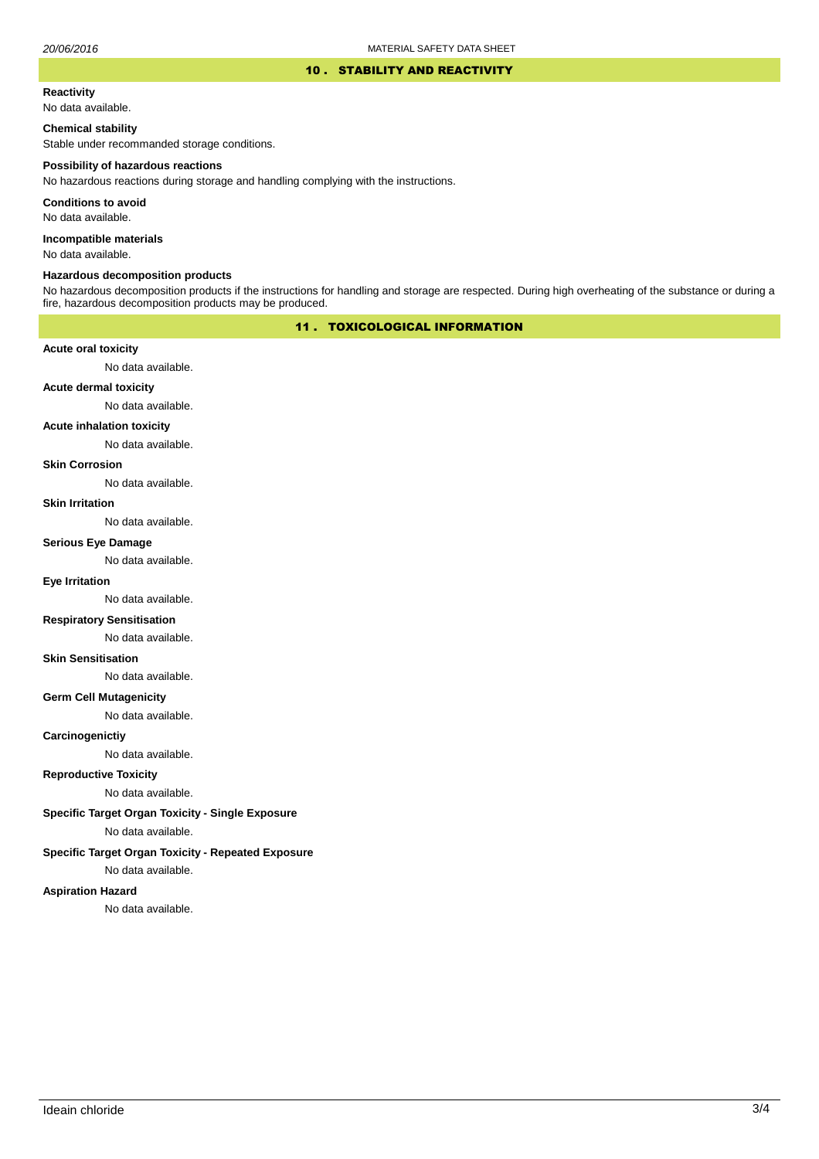#### 10 . STABILITY AND REACTIVITY

#### **Reactivity**

No data available.

#### **Chemical stability**

Stable under recommanded storage conditions.

#### **Possibility of hazardous reactions**

No hazardous reactions during storage and handling complying with the instructions.

**Conditions to avoid**

No data available.

**Incompatible materials**

No data available.

## **Hazardous decomposition products**

No hazardous decomposition products if the instructions for handling and storage are respected. During high overheating of the substance or during a fire, hazardous decomposition products may be produced.

# 11 . TOXICOLOGICAL INFORMATION

#### **Acute oral toxicity**

No data available.

# **Acute dermal toxicity**

No data available.

#### **Acute inhalation toxicity**

No data available.

## **Skin Corrosion**

No data available.

#### **Skin Irritation**

No data available.

# **Serious Eye Damage**

No data available.

# **Eye Irritation**

No data available.

## **Respiratory Sensitisation**

No data available.

#### **Skin Sensitisation**

No data available.

#### **Germ Cell Mutagenicity**

No data available.

#### **Carcinogenictiy**

No data available.

# **Reproductive Toxicity**

No data available.

# **Specific Target Organ Toxicity - Single Exposure**

No data available.

## **Specific Target Organ Toxicity - Repeated Exposure**

No data available.

#### **Aspiration Hazard**

No data available.